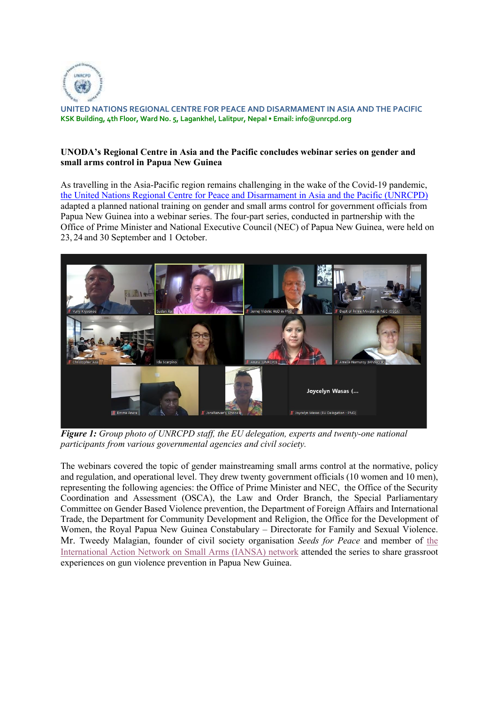

**UNITED NATIONS REGIONAL CENTRE FOR PEACE AND DISARMAMENT IN ASIA AND THE PACIFIC KSK Building, 4th Floor, Ward No. 5, Lagankhel, Lalitpur, Nepal • Email: info@unrcpd.org** 

## **UNODA's Regional Centre in Asia and the Pacific concludes webinar series on gender and small arms control in Papua New Guinea**

As travelling in the Asia-Pacific region remains challenging in the wake of the Covid-19 pandemic, the United Nations Regional Centre for Peace and Disarmament in Asia and the Pacific (UNRCPD) adapted a planned national training on gender and small arms control for government officials from Papua New Guinea into a webinar series. The four-part series, conducted in partnership with the Office of Prime Minister and National Executive Council (NEC) of Papua New Guinea, were held on 23, 24 and 30 September and 1 October.



*Figure 1: Group photo of UNRCPD staff, the EU delegation, experts and twenty-one national participants from various governmental agencies and civil society.* 

The webinars covered the topic of gender mainstreaming small arms control at the normative, policy and regulation, and operational level. They drew twenty government officials (10 women and 10 men), representing the following agencies: the Office of Prime Minister and NEC, the Office of the Security Coordination and Assessment (OSCA), the Law and Order Branch, the Special Parliamentary Committee on Gender Based Violence prevention, the Department of Foreign Affairs and International Trade, the Department for Community Development and Religion, the Office for the Development of Women, the Royal Papua New Guinea Constabulary – Directorate for Family and Sexual Violence. Mr. Tweedy Malagian, founder of civil society organisation *Seeds for Peace* and member of the International Action Network on Small Arms (IANSA) network attended the series to share grassroot experiences on gun violence prevention in Papua New Guinea.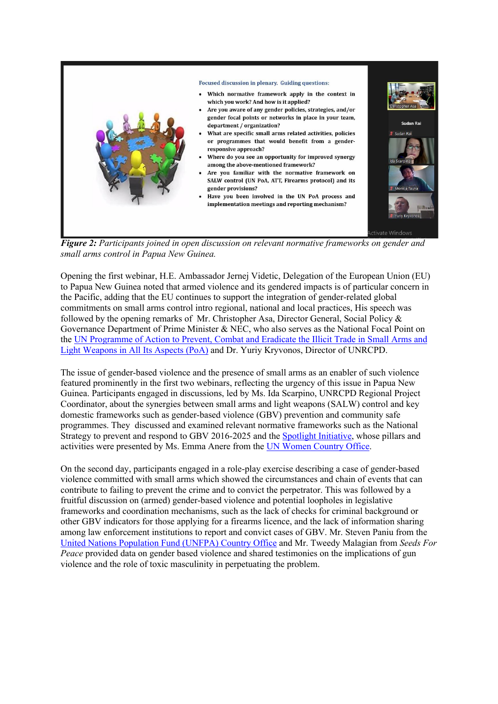

*Figure 2: Participants joined in open discussion on relevant normative frameworks on gender and small arms control in Papua New Guinea.* 

Opening the first webinar, H.E. Ambassador Jernej Videtic, Delegation of the European Union (EU) to Papua New Guinea noted that armed violence and its gendered impacts is of particular concern in the Pacific, adding that the EU continues to support the integration of gender-related global commitments on small arms control intro regional, national and local practices, His speech was followed by the opening remarks of Mr. Christopher Asa, Director General, Social Policy & Governance Department of Prime Minister & NEC, who also serves as the National Focal Point on the UN Programme of Action to Prevent, Combat and Eradicate the Illicit Trade in Small Arms and Light Weapons in All Its Aspects (PoA) and Dr. Yuriy Kryvonos, Director of UNRCPD.

The issue of gender-based violence and the presence of small arms as an enabler of such violence featured prominently in the first two webinars, reflecting the urgency of this issue in Papua New Guinea. Participants engaged in discussions, led by Ms. Ida Scarpino, UNRCPD Regional Project Coordinator, about the synergies between small arms and light weapons (SALW) control and key domestic frameworks such as gender-based violence (GBV) prevention and community safe programmes. They discussed and examined relevant normative frameworks such as the National Strategy to prevent and respond to GBV 2016-2025 and the Spotlight Initiative, whose pillars and activities were presented by Ms. Emma Anere from the UN Women Country Office.

On the second day, participants engaged in a role-play exercise describing a case of gender-based violence committed with small arms which showed the circumstances and chain of events that can contribute to failing to prevent the crime and to convict the perpetrator. This was followed by a fruitful discussion on (armed) gender-based violence and potential loopholes in legislative frameworks and coordination mechanisms, such as the lack of checks for criminal background or other GBV indicators for those applying for a firearms licence, and the lack of information sharing among law enforcement institutions to report and convict cases of GBV. Mr. Steven Paniu from the United Nations Population Fund (UNFPA) Country Office and Mr. Tweedy Malagian from *Seeds For Peace* provided data on gender based violence and shared testimonies on the implications of gun violence and the role of toxic masculinity in perpetuating the problem.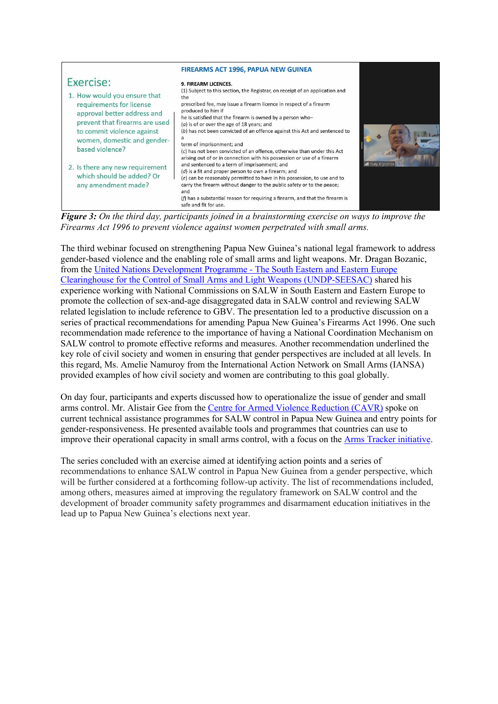| Exercise:<br>1. How would you ensure that<br>requirements for license<br>approval better address and<br>prevent that firearms are used<br>to commit violence against<br>women, domestic and gender-<br>based violence?<br>2. Is there any new requirement<br>which should be added? Or<br>any amendment made? | <b>FIREARMS ACT 1996, PAPUA NEW GUINEA</b><br>9. FIREARM LICENCES.<br>(1) Subject to this section, the Registrar, on receipt of an application and<br>the<br>prescribed fee, may issue a firearm licence in respect of a firearm<br>produced to him if<br>he is satisfied that the firearm is owned by a person who-<br>$(a)$ is of or over the age of 18 years; and<br>(b) has not been convicted of an offence against this Act and sentenced to<br>term of imprisonment; and<br>(c) has not been convicted of an offence, otherwise than under this Act<br>arising out of or in connection with his possession or use of a firearm<br>and sentenced to a term of imprisonment; and<br>(d) is a fit and proper person to own a firearm; and<br>(e) can be reasonably permitted to have in his possession, to use and to<br>carry the firearm without danger to the public safety or to the peace; | all Yuriy Kryvonos |
|---------------------------------------------------------------------------------------------------------------------------------------------------------------------------------------------------------------------------------------------------------------------------------------------------------------|-----------------------------------------------------------------------------------------------------------------------------------------------------------------------------------------------------------------------------------------------------------------------------------------------------------------------------------------------------------------------------------------------------------------------------------------------------------------------------------------------------------------------------------------------------------------------------------------------------------------------------------------------------------------------------------------------------------------------------------------------------------------------------------------------------------------------------------------------------------------------------------------------------|--------------------|
|                                                                                                                                                                                                                                                                                                               | and<br>(f) has a substantial reason for requiring a firearm, and that the firearm is<br>safe and fit for use.                                                                                                                                                                                                                                                                                                                                                                                                                                                                                                                                                                                                                                                                                                                                                                                       |                    |

*Figure 3: On the third day, participants joined in a brainstorming exercise on ways to improve the Firearms Act 1996 to prevent violence against women perpetrated with small arms.* 

The third webinar focused on strengthening Papua New Guinea's national legal framework to address gender-based violence and the enabling role of small arms and light weapons. Mr. Dragan Bozanic, from the United Nations Development Programme - The South Eastern and Eastern Europe Clearinghouse for the Control of Small Arms and Light Weapons (UNDP-SEESAC) shared his experience working with National Commissions on SALW in South Eastern and Eastern Europe to promote the collection of sex-and-age disaggregated data in SALW control and reviewing SALW related legislation to include reference to GBV. The presentation led to a productive discussion on a series of practical recommendations for amending Papua New Guinea's Firearms Act 1996. One such recommendation made reference to the importance of having a National Coordination Mechanism on SALW control to promote effective reforms and measures. Another recommendation underlined the key role of civil society and women in ensuring that gender perspectives are included at all levels. In this regard, Ms. Amelie Namuroy from the International Action Network on Small Arms (IANSA) provided examples of how civil society and women are contributing to this goal globally.

On day four, participants and experts discussed how to operationalize the issue of gender and small arms control. Mr. Alistair Gee from the Centre for Armed Violence Reduction (CAVR) spoke on current technical assistance programmes for SALW control in Papua New Guinea and entry points for gender-responsiveness. He presented available tools and programmes that countries can use to improve their operational capacity in small arms control, with a focus on the Arms Tracker initiative.

The series concluded with an exercise aimed at identifying action points and a series of recommendations to enhance SALW control in Papua New Guinea from a gender perspective, which will be further considered at a forthcoming follow-up activity. The list of recommendations included, among others, measures aimed at improving the regulatory framework on SALW control and the development of broader community safety programmes and disarmament education initiatives in the lead up to Papua New Guinea's elections next year.